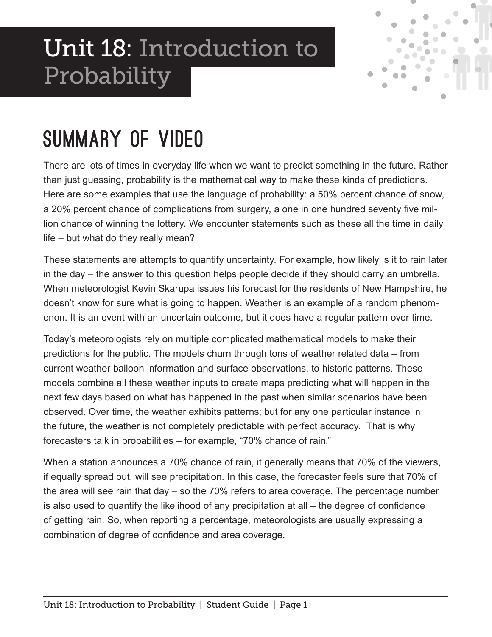# Unit 18: Introduction to Probability



### Summary of Video

There are lots of times in everyday life when we want to predict something in the future. Rather than just guessing, probability is the mathematical way to make these kinds of predictions. Here are some examples that use the language of probability: a 50% percent chance of snow, a 20% percent chance of complications from surgery, a one in one hundred seventy five million chance of winning the lottery. We encounter statements such as these all the time in daily life – but what do they really mean?

These statements are attempts to quantify uncertainty. For example, how likely is it to rain later in the day – the answer to this question helps people decide if they should carry an umbrella. When meteorologist Kevin Skarupa issues his forecast for the residents of New Hampshire, he doesn't know for sure what is going to happen. Weather is an example of a random phenomenon. It is an event with an uncertain outcome, but it does have a regular pattern over time.

Today's meteorologists rely on multiple complicated mathematical models to make their predictions for the public. The models churn through tons of weather related data – from current weather balloon information and surface observations, to historic patterns. These models combine all these weather inputs to create maps predicting what will happen in the next few days based on what has happened in the past when similar scenarios have been observed. Over time, the weather exhibits patterns; but for any one particular instance in the future, the weather is not completely predictable with perfect accuracy. That is why forecasters talk in probabilities – for example, "70% chance of rain."

When a station announces a 70% chance of rain, it generally means that 70% of the viewers, if equally spread out, will see precipitation. In this case, the forecaster feels sure that 70% of the area will see rain that day – so the 70% refers to area coverage. The percentage number is also used to quantify the likelihood of any precipitation at all – the degree of confidence of getting rain. So, when reporting a percentage, meteorologists are usually expressing a combination of degree of confidence and area coverage.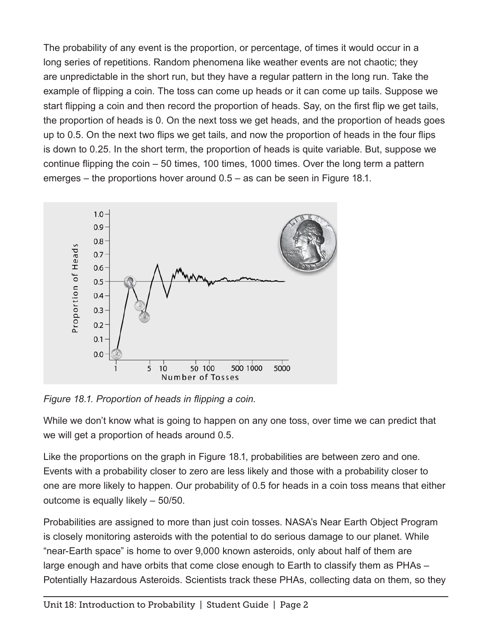The probability of any event is the proportion, or percentage, of times it would occur in a long series of repetitions. Random phenomena like weather events are not chaotic; they are unpredictable in the short run, but they have a regular pattern in the long run. Take the example of flipping a coin. The toss can come up heads or it can come up tails. Suppose we start flipping a coin and then record the proportion of heads. Say, on the first flip we get tails, the proportion of heads is 0. On the next toss we get heads, and the proportion of heads goes up to 0.5. On the next two flips we get tails, and now the proportion of heads in the four flips is down to 0.25. In the short term, the proportion of heads is quite variable. But, suppose we continue flipping the coin – 50 times, 100 times, 1000 times. Over the long term a pattern emerges – the proportions hover around 0.5 – as can be seen in Figure 18.1.



*Figure 18.1. Proportion of heads in flipping a coin.*

While we don't know what is going to happen on any one toss, over time we can predict that we will get a proportion of heads around 0.5.

Like the proportions on the graph in Figure 18.1, probabilities are between zero and one. Events with a probability closer to zero are less likely and those with a probability closer to one are more likely to happen. Our probability of 0.5 for heads in a coin toss means that either outcome is equally likely – 50/50.

Probabilities are assigned to more than just coin tosses. NASA's Near Earth Object Program is closely monitoring asteroids with the potential to do serious damage to our planet. While "near-Earth space" is home to over 9,000 known asteroids, only about half of them are large enough and have orbits that come close enough to Earth to classify them as PHAs – Potentially Hazardous Asteroids. Scientists track these PHAs, collecting data on them, so they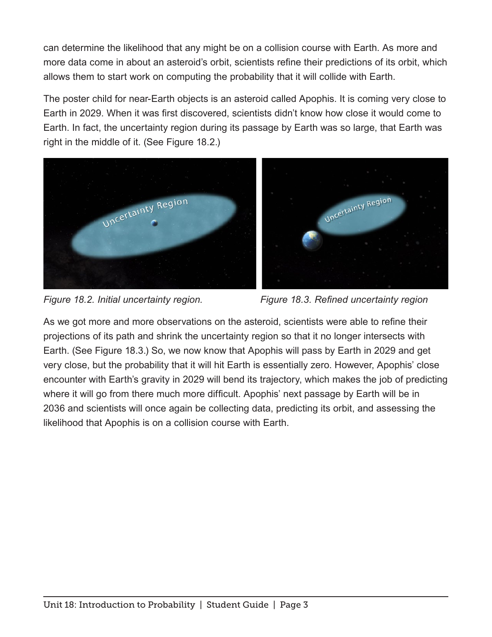can determine the likelihood that any might be on a collision course with Earth. As more and more data come in about an asteroid's orbit, scientists refine their predictions of its orbit, which allows them to start work on computing the probability that it will collide with Earth.

The poster child for near-Earth objects is an asteroid called Apophis. It is coming very close to Earth in 2029. When it was first discovered, scientists didn't know how close it would come to Earth. In fact, the uncertainty region during its passage by Earth was so large, that Earth was right in the middle of it. (See Figure 18.2.)





As we got more and more observations on the asteroid, scientists were able to refine their projections of its path and shrink the uncertainty region so that it no longer intersects with Earth. (See Figure 18.3.) So, we now know that Apophis will pass by Earth in 2029 and get very close, but the probability that it will hit Earth is essentially zero. However, Apophis' close encounter with Earth's gravity in 2029 will bend its trajectory, which makes the job of predicting where it will go from there much more difficult. Apophis' next passage by Earth will be in 2036 and scientists will once again be collecting data, predicting its orbit, and assessing the likelihood that Apophis is on a collision course with Earth.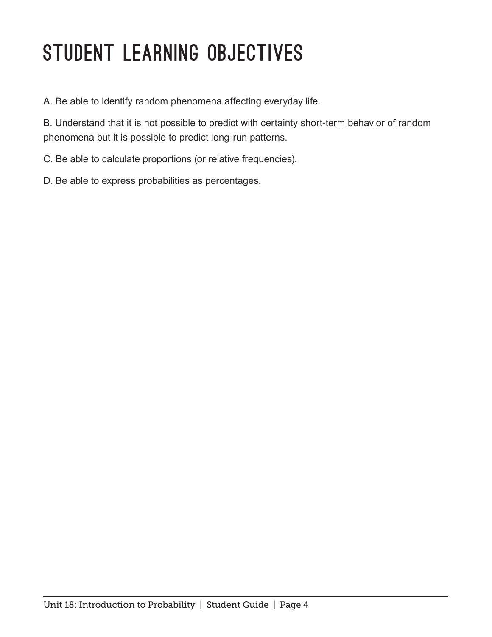# STUDENT LEARNING OBJECTIVES

A. Be able to identify random phenomena affecting everyday life.

B. Understand that it is not possible to predict with certainty short-term behavior of random phenomena but it is possible to predict long-run patterns.

C. Be able to calculate proportions (or relative frequencies).

D. Be able to express probabilities as percentages.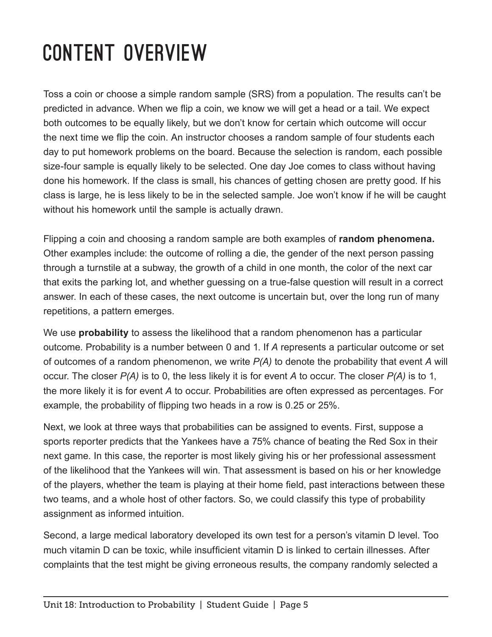# Content Overview

Toss a coin or choose a simple random sample (SRS) from a population. The results can't be predicted in advance. When we flip a coin, we know we will get a head or a tail. We expect both outcomes to be equally likely, but we don't know for certain which outcome will occur the next time we flip the coin. An instructor chooses a random sample of four students each day to put homework problems on the board. Because the selection is random, each possible size-four sample is equally likely to be selected. One day Joe comes to class without having done his homework. If the class is small, his chances of getting chosen are pretty good. If his class is large, he is less likely to be in the selected sample. Joe won't know if he will be caught without his homework until the sample is actually drawn.

Flipping a coin and choosing a random sample are both examples of **random phenomena.** Other examples include: the outcome of rolling a die, the gender of the next person passing through a turnstile at a subway, the growth of a child in one month, the color of the next car that exits the parking lot, and whether guessing on a true-false question will result in a correct answer. In each of these cases, the next outcome is uncertain but, over the long run of many repetitions, a pattern emerges.

We use **probability** to assess the likelihood that a random phenomenon has a particular outcome. Probability is a number between 0 and 1. If *A* represents a particular outcome or set of outcomes of a random phenomenon, we write *P(A)* to denote the probability that event *A* will occur. The closer *P(A)* is to 0, the less likely it is for event *A* to occur. The closer *P(A)* is to 1, the more likely it is for event *A* to occur. Probabilities are often expressed as percentages. For example, the probability of flipping two heads in a row is 0.25 or 25%.

Next, we look at three ways that probabilities can be assigned to events. First, suppose a sports reporter predicts that the Yankees have a 75% chance of beating the Red Sox in their next game. In this case, the reporter is most likely giving his or her professional assessment of the likelihood that the Yankees will win. That assessment is based on his or her knowledge of the players, whether the team is playing at their home field, past interactions between these two teams, and a whole host of other factors. So, we could classify this type of probability assignment as informed intuition.

Second, a large medical laboratory developed its own test for a person's vitamin D level. Too much vitamin D can be toxic, while insufficient vitamin D is linked to certain illnesses. After complaints that the test might be giving erroneous results, the company randomly selected a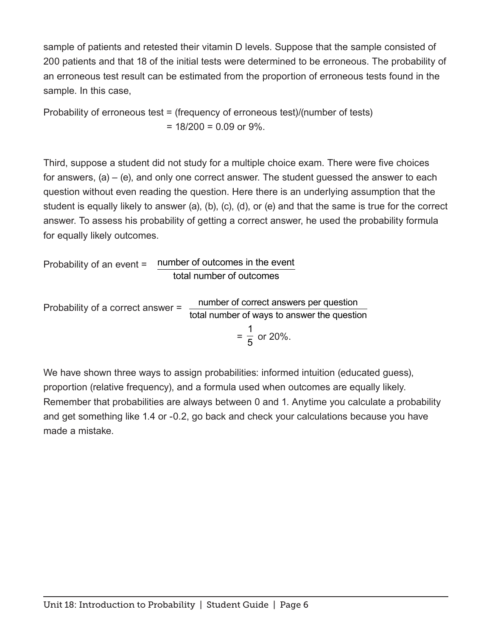sample of patients and retested their vitamin D levels. Suppose that the sample consisted of 200 patients and that 18 of the initial tests were determined to be erroneous. The probability of an erroneous test result can be estimated from the proportion of erroneous tests found in the sample. In this case,

Probability of erroneous test = (frequency of erroneous test)/(number of tests)  $= 18/200 = 0.09$  or 9%.

Third, suppose a student did not study for a multiple choice exam. There were five choices for answers, (a) – (e), and only one correct answer. The student guessed the answer to each question without even reading the question. Here there is an underlying assumption that the student is equally likely to answer (a), (b), (c), (d), or (e) and that the same is true for the correct answer. To assess his probability of getting a correct answer, he used the probability formula for equally likely outcomes.

Probability of an event = number of outcomes in the event total number of outcomes

Probability of a correct answer = number of correct answers per question total number of ways to answer the question = 1  $\frac{1}{5}$  or 20%.

We have shown three ways to assign probabilities: informed intuition (educated guess), proportion (relative frequency), and a formula used when outcomes are equally likely. Remember that probabilities are always between 0 and 1. Anytime you calculate a probability and get something like 1.4 or -0.2, go back and check your calculations because you have made a mistake.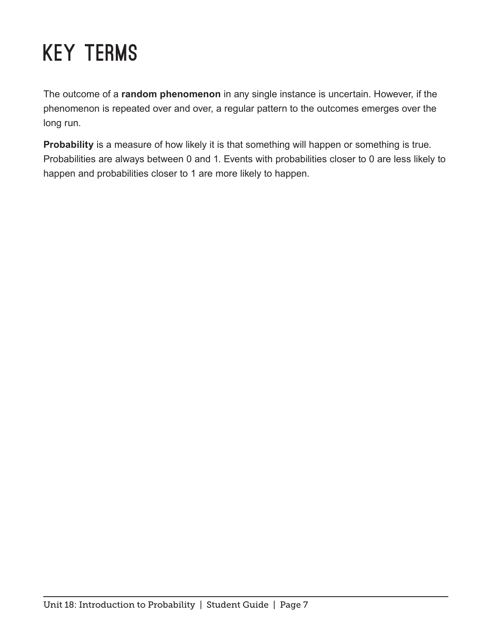# Key Terms

The outcome of a **random phenomenon** in any single instance is uncertain. However, if the phenomenon is repeated over and over, a regular pattern to the outcomes emerges over the long run.

**Probability** is a measure of how likely it is that something will happen or something is true. Probabilities are always between 0 and 1. Events with probabilities closer to 0 are less likely to happen and probabilities closer to 1 are more likely to happen.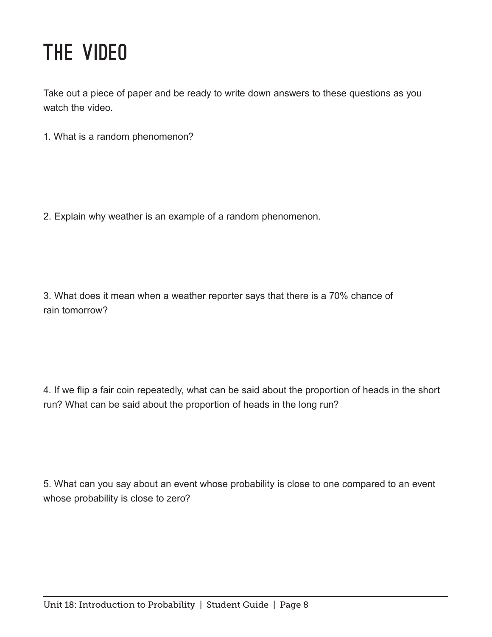### The Video

Take out a piece of paper and be ready to write down answers to these questions as you watch the video.

1. What is a random phenomenon?

2. Explain why weather is an example of a random phenomenon.

3. What does it mean when a weather reporter says that there is a 70% chance of rain tomorrow?

4. If we flip a fair coin repeatedly, what can be said about the proportion of heads in the short run? What can be said about the proportion of heads in the long run?

5. What can you say about an event whose probability is close to one compared to an event whose probability is close to zero?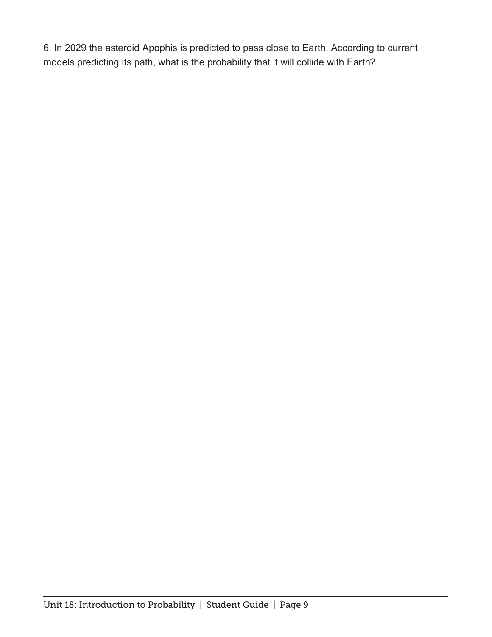6. In 2029 the asteroid Apophis is predicted to pass close to Earth. According to current models predicting its path, what is the probability that it will collide with Earth?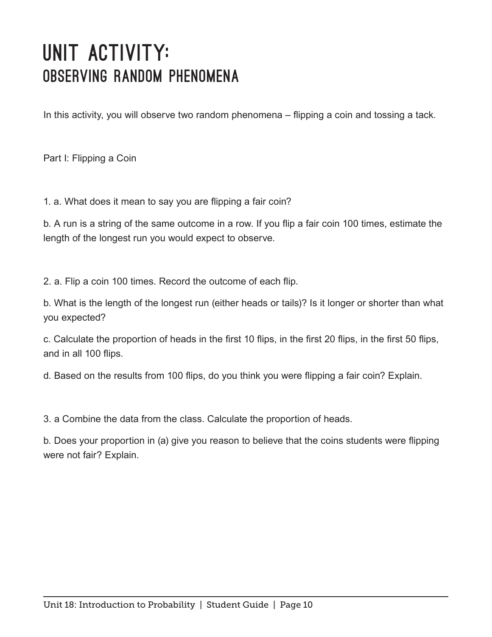#### UNIT ACTIVITY: Observing Random Phenomena

In this activity, you will observe two random phenomena – flipping a coin and tossing a tack.

Part I: Flipping a Coin

1. a. What does it mean to say you are flipping a fair coin?

b. A run is a string of the same outcome in a row. If you flip a fair coin 100 times, estimate the length of the longest run you would expect to observe.

2. a. Flip a coin 100 times. Record the outcome of each flip.

b. What is the length of the longest run (either heads or tails)? Is it longer or shorter than what you expected?

c. Calculate the proportion of heads in the first 10 flips, in the first 20 flips, in the first 50 flips, and in all 100 flips.

d. Based on the results from 100 flips, do you think you were flipping a fair coin? Explain.

3. a Combine the data from the class. Calculate the proportion of heads.

b. Does your proportion in (a) give you reason to believe that the coins students were flipping were not fair? Explain.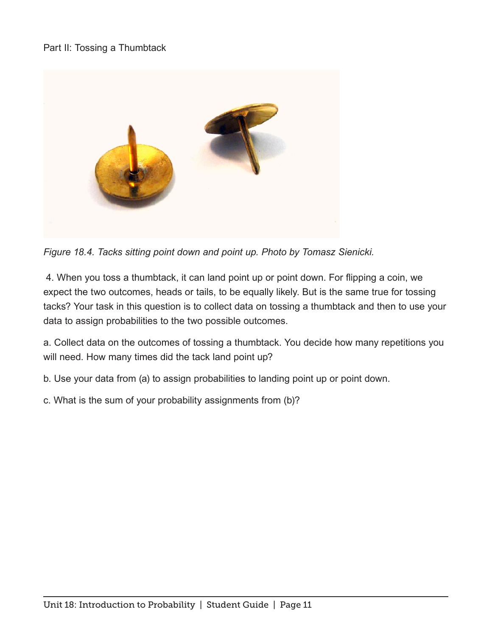#### Part II: Tossing a Thumbtack



*Figure 18.4. Tacks sitting point down and point up. Photo by Tomasz Sienicki.*

 4. When you toss a thumbtack, it can land point up or point down. For flipping a coin, we expect the two outcomes, heads or tails, to be equally likely. But is the same true for tossing tacks? Your task in this question is to collect data on tossing a thumbtack and then to use your data to assign probabilities to the two possible outcomes.

a. Collect data on the outcomes of tossing a thumbtack. You decide how many repetitions you will need. How many times did the tack land point up?

b. Use your data from (a) to assign probabilities to landing point up or point down.

c. What is the sum of your probability assignments from (b)?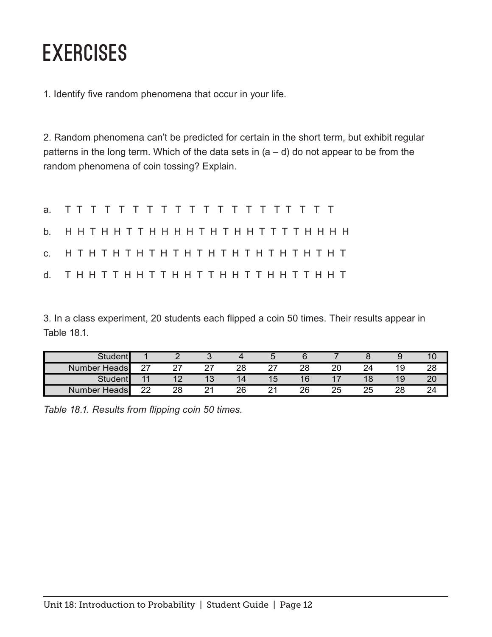#### **EXERCISES**

1. Identify five random phenomena that occur in your life.

2. Random phenomena can't be predicted for certain in the short term, but exhibit regular patterns in the long term. Which of the data sets in  $(a - d)$  do not appear to be from the random phenomena of coin tossing? Explain.

| b. ННТННТТННННТНТННТТТТНННН |  |  |  |  |  |  |  |  |  |  |  |  |
|-----------------------------|--|--|--|--|--|--|--|--|--|--|--|--|
| c. HTHTHTHTHTHTHTHTHTHTHTHT |  |  |  |  |  |  |  |  |  |  |  |  |
| d. ТННТТННТТННТТННТТННТТННТ |  |  |  |  |  |  |  |  |  |  |  |  |

3. In a class experiment, 20 students each flipped a coin 50 times. Their results appear in Table 18.1.

| <b>Student</b>         |                |               |                      |          |        |    |    |          |    | ιu       |
|------------------------|----------------|---------------|----------------------|----------|--------|----|----|----------|----|----------|
| Number<br>Heads        | $\sim$<br>_    | $\sim$<br>_ . | ົ<br>- 1             | າຂ<br>∠∪ | ົ<br>- | 28 | 20 |          | 19 | ററ<br>∠a |
| Studen.                | $\overline{1}$ | 10            | $\overline{ }$<br>טו |          | כ ו    | 16 | 47 | 18       | 19 | ۷J       |
| <b>Heads</b><br>Number | າາ             | 28            | $\sim$               | 26       |        | 26 | 25 | つに<br>20 | ററ | 24       |

*Table 18.1. Results from flipping coin 50 times.*  Table 18.1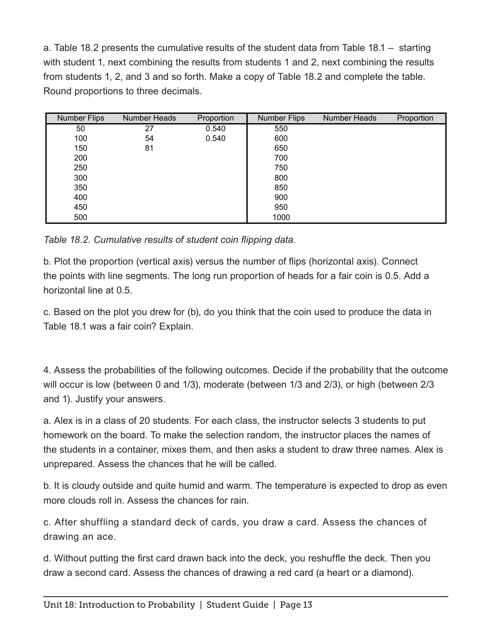a. Table 18.2 presents the cumulative results of the student data from Table 18.1 – starting with student 1, next combining the results from students 1 and 2, next combining the results from students 1, 2, and 3 and so forth. Make a copy of Table 18.2 and complete the table. Round proportions to three decimals.

| <b>Number Flips</b> | Number Heads | Proportion | <b>Number Flips</b> | Number Heads | Proportion |
|---------------------|--------------|------------|---------------------|--------------|------------|
| 50                  | 27           | 0.540      | 550                 |              |            |
| 100                 | 54           | 0.540      | 600                 |              |            |
| 150                 | 81           |            | 650                 |              |            |
| 200                 |              |            | 700                 |              |            |
| 250                 |              |            | 750                 |              |            |
| 300                 |              |            | 800                 |              |            |
| 350                 |              |            | 850                 |              |            |
| 400                 |              |            | 900                 |              |            |
| 450                 |              |            | 950                 |              |            |
| 500                 |              |            | 1000                |              |            |

Table 18.2. Cumulative results of student coin flipping data.

b. Plot the proportion (vertical axis) versus the number of flips (horizontal axis). Connect the points with line segments. The long run proportion of heads for a fair coin is 0.5. Add a horizontal line at 0.5.

c. Based on the plot you drew for (b), do you think that the coin used to produce the data in Table 18.1 was a fair coin? Explain.

4. Assess the probabilities of the following outcomes. Decide if the probability that the outcome will occur is low (between 0 and 1/3), moderate (between 1/3 and 2/3), or high (between 2/3 and 1). Justify your answers.

a. Alex is in a class of 20 students. For each class, the instructor selects 3 students to put homework on the board. To make the selection random, the instructor places the names of the students in a container, mixes them, and then asks a student to draw three names. Alex is unprepared. Assess the chances that he will be called.

b. It is cloudy outside and quite humid and warm. The temperature is expected to drop as even more clouds roll in. Assess the chances for rain.

c. After shuffling a standard deck of cards, you draw a card. Assess the chances of drawing an ace.

d. Without putting the first card drawn back into the deck, you reshuffle the deck. Then you draw a second card. Assess the chances of drawing a red card (a heart or a diamond).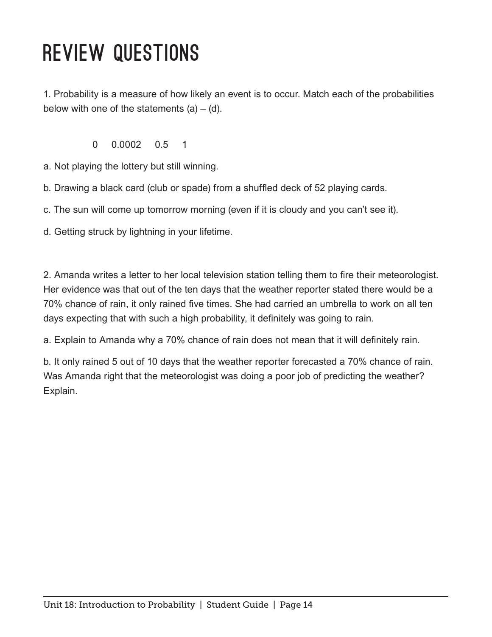## Review Questions

1. Probability is a measure of how likely an event is to occur. Match each of the probabilities below with one of the statements  $(a) - (d)$ .

0 0.0002 0.5 1

a. Not playing the lottery but still winning.

b. Drawing a black card (club or spade) from a shuffled deck of 52 playing cards.

c. The sun will come up tomorrow morning (even if it is cloudy and you can't see it).

d. Getting struck by lightning in your lifetime.

2. Amanda writes a letter to her local television station telling them to fire their meteorologist. Her evidence was that out of the ten days that the weather reporter stated there would be a 70% chance of rain, it only rained five times. She had carried an umbrella to work on all ten days expecting that with such a high probability, it definitely was going to rain.

a. Explain to Amanda why a 70% chance of rain does not mean that it will definitely rain.

b. It only rained 5 out of 10 days that the weather reporter forecasted a 70% chance of rain. Was Amanda right that the meteorologist was doing a poor job of predicting the weather? Explain.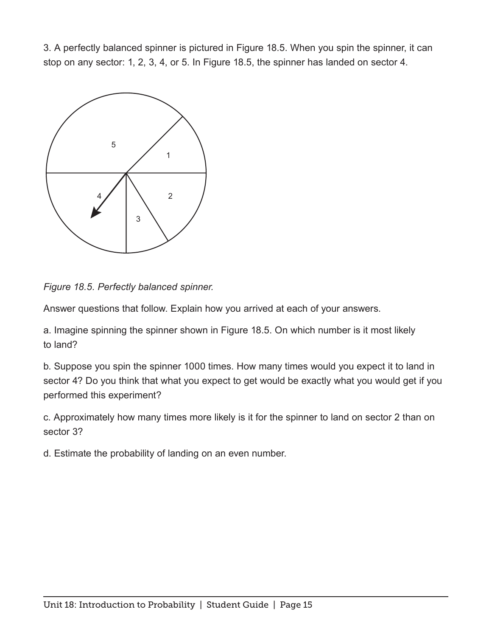3. A perfectly balanced spinner is pictured in Figure 18.5. When you spin the spinner, it can stop on any sector: 1, 2, 3, 4, or 5. In Figure 18.5, the spinner has landed on sector 4.



*Figure 18.5. Perfectly balanced spinner.* 

Answer questions that follow. Explain how you arrived at each of your answers.

a. Imagine spinning the spinner shown in Figure 18.5. On which number is it most likely to land?

b. Suppose you spin the spinner 1000 times. How many times would you expect it to land in sector 4? Do you think that what you expect to get would be exactly what you would get if you performed this experiment?

c. Approximately how many times more likely is it for the spinner to land on sector 2 than on sector 3?

d. Estimate the probability of landing on an even number.